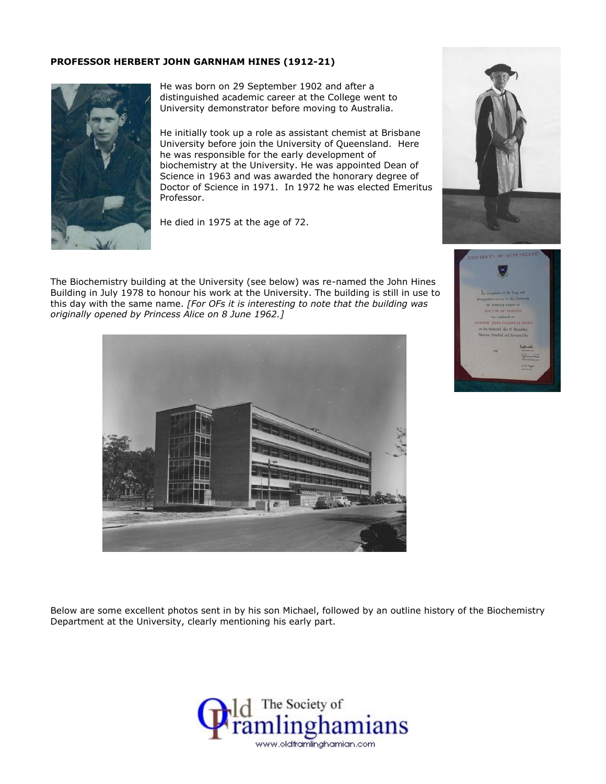## **PROFESSOR HERBERT JOHN GARNHAM HINES (1912-21)**



He was born on 29 September 1902 and after a distinguished academic career at the College went to University demonstrator before moving to Australia.

He initially took up a role as assistant chemist at Brisbane University before join the University of Queensland. Here he was responsible for the early development of biochemistry at the University. He was appointed Dean of Science in 1963 and was awarded the honorary degree of Doctor of Science in 1971. In 1972 he was elected Emeritus Professor.

He died in 1975 at the age of 72.



The Biochemistry building at the University (see below) was re-named the John Hines Building in July 1978 to honour his work at the University. The building is still in use to this day with the same name. *[For OFs it is interesting to note that the building was originally opened by Princess Alice on 8 June 1962.]*





Below are some excellent photos sent in by his son Michael, followed by an outline history of the Biochemistry Department at the University, clearly mentioning his early part.

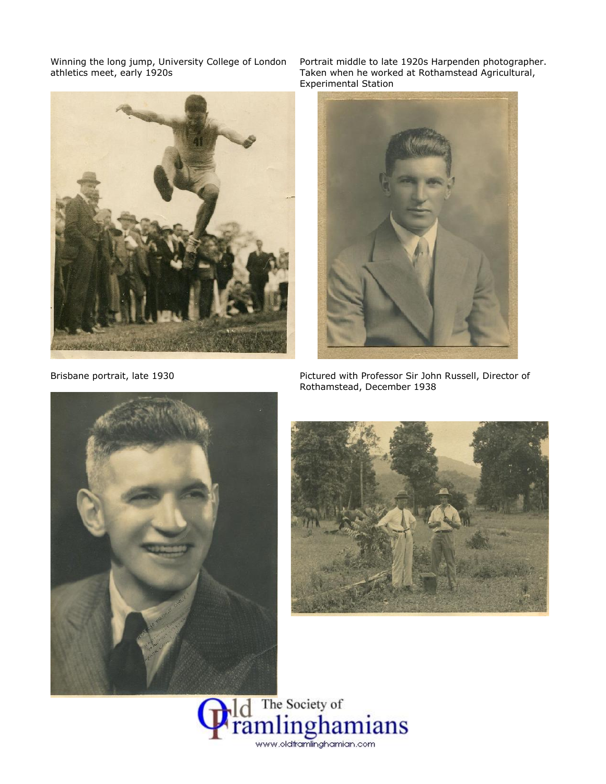

Winning the long jump, University College of London Portrait middle to late 1920s Harpenden photographer. athletics meet, early 1920s Taken when he worked at Rothamstead Agricultural, Experimental Station



Brisbane portrait, late 1930 Pictured with Professor Sir John Russell, Director of Rothamstead, December 1938





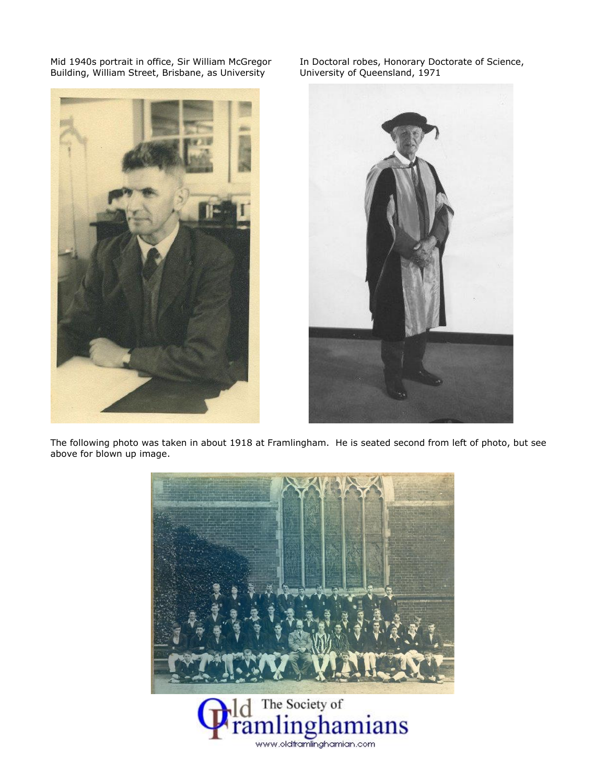Building, William Street, Brisbane, as University

Mid 1940s portrait in office, Sir William McGregor In Doctoral robes, Honorary Doctorate of Science,<br>Building, William Street, Brisbane, as University University of Queensland, 1971





The following photo was taken in about 1918 at Framlingham. He is seated second from left of photo, but see above for blown up image.



www.oldframlinghamian.com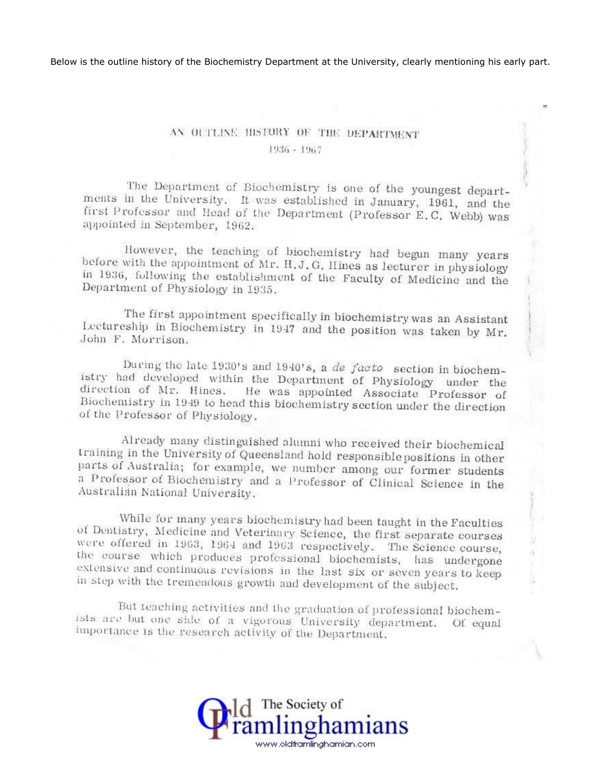Below is the outline history of the Biochemistry Department at the University, clearly mentioning his early part.

## AN OUTLINE HISTORY OF THE DEPARTMENT 1936 - 1967

The Department of Biochemistry is one of the youngest departments in the University. It was established in January, 1961, and the first Professor and Head of the Department (Professor E.C. Webb) was appointed in September, 1962.

However, the teaching of biochemistry had begun many years before with the appointment of Mr. H.J.G. Hines as lecturer in physiology in 1936, following the establishment of the Faculty of Medicine and the Department of Physiology in 1935.

The first appointment specifically in biochemistry was an Assistant Lectureship in Biochemistry in 1947 and the position was taken by Mr. John F. Morrison.

During the late 1930's and 1940's, a de facto section in biochemistry had developed within the Department of Physiology under the direction of Mr. Hines. He was appointed Associate Professor of Biochemistry in 1949 to head this biochemistry section under the direction of the Professor of Physiology.

Already many distinguished alumni who received their biochemical training in the University of Queensland hold responsible positions in other parts of Australia; for example, we number among our former students a Professor of Biochemistry and a Professor of Clinical Science in the Australian National University.

While for many years biochemistry had been taught in the Faculties of Dentistry, Medicine and Veterinary Science, the first separate courses were offered in 1963, 1964 and 1963 respectively. The Science course, the course which produces professional biochemists, has undergone extensive and continuous revisions in the last six or seven years to keep in step with the tremendous growth and development of the subject.

But teaching activities and the graduation of professional biochemists are but one side of a vigorous University department. Of equal importance is the research activity of the Department.